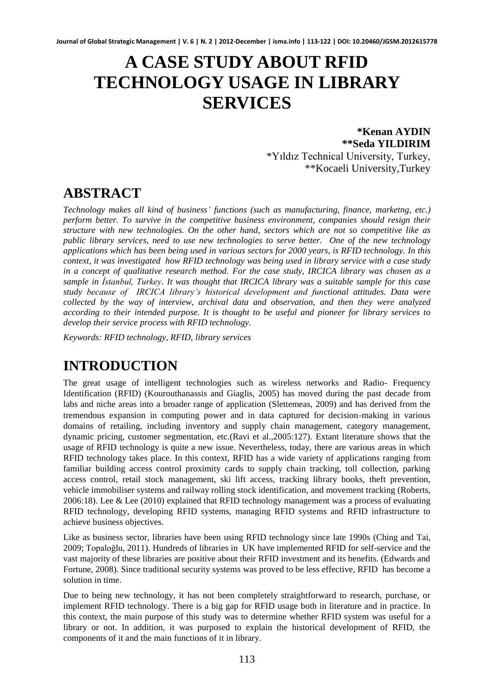# **A CASE STUDY ABOUT RFID TECHNOLOGY USAGE IN LIBRARY SERVICES**

### **\*Kenan AYDIN \*\*Seda YILDIRIM** \*Yıldız Technical University, Turkey, \*\*Kocaeli University,Turkey

# **ABSTRACT**

*Technology makes all kind of business' functions (such as manufacturing, finance, marketng, etc.) perform better. To survive in the competitive business environment, companies should resign their structure with new technologies. On the other hand, sectors which are not so competitive like as public library services, need to use new technologies to serve better. One of the new technology applications which has been being used in various sectors for 2000 years, is RFID technology. In this context, it was investigated how RFID technology was being used in library service with a case study in a concept of qualitative research method. For the case study, IRCICA library was chosen as a sample in İstanbul, Turkey. It was thought that IRCICA library was a suitable sample for this case study because of IRCICA library's historical development and functional attitudes. Data were collected by the way of interview, archival data and observation, and then they were analyzed according to their intended purpose. It is thought to be useful and pioneer for library services to develop their service process with RFID technology.*

*Keywords: RFID technology, RFID, library services* 

# **INTRODUCTION**

The great usage of intelligent technologies such as wireless networks and Radio- Frequency Identification (RFID) (Kourouthanassis and Giaglis, 2005) has moved during the past decade from labs and niche areas into a broader range of application (Slettemeas, 2009) and has derived from the tremendous expansion in computing power and in data captured for decision-making in various domains of retailing, including inventory and supply chain management, category management, dynamic pricing, customer segmentation, etc.(Ravi et al.,2005:127). Extant literature shows that the usage of RFID technology is quite a new issue. Nevertheless, today, there are various areas in which RFID technology takes place. In this context, RFID has a wide variety of applications ranging from familiar building access control proximity cards to supply chain tracking, toll collection, parking access control, retail stock management, ski lift access, tracking library books, theft prevention, vehicle immobiliser systems and railway rolling stock identification, and movement tracking (Roberts, 2006:18). Lee & Lee (2010) explained that RFID technology management was a process of evaluating RFID technology, developing RFID systems, managing RFID systems and RFID infrastructure to achieve business objectives.

Like as business sector, libraries have been using RFID technology since late 1990s (Ching and Tai, 2009; Topaloğlu, 2011). Hundreds of libraries in UK have implemented RFID for self-service and the vast majority of these libraries are positive about their RFID investment and its benefits. (Edwards and Fortune, 2008). Since traditional security systems was proved to be less effective, RFID has become a solution in time.

Due to being new technology, it has not been completely straightforward to research, purchase, or implement RFID technology. There is a big gap for RFID usage both in literature and in practice. In this context, the main purpose of this study was to determine whether RFID system was useful for a library or not. In addition, it was purposed to explain the historical development of RFID, the components of it and the main functions of it in library.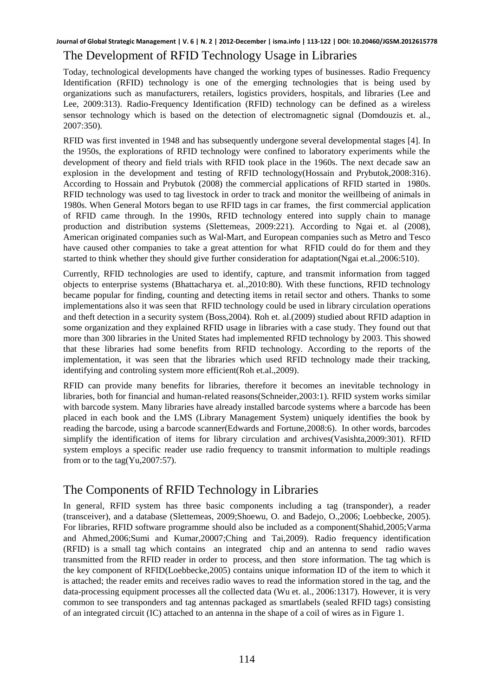### The Development of RFID Technology Usage in Libraries

Today, technological developments have changed the working types of businesses. Radio Frequency Identification (RFID) technology is one of the emerging technologies that is being used by organizations such as manufacturers, retailers, logistics providers, hospitals, and libraries (Lee and Lee, 2009:313). Radio-Frequency Identification (RFID) technology can be defined as a wireless sensor technology which is based on the detection of electromagnetic signal (Domdouzis et. al., 2007:350).

RFID was first invented in 1948 and has subsequently undergone several developmental stages [4]. In the 1950s, the explorations of RFID technology were confined to laboratory experiments while the development of theory and field trials with RFID took place in the 1960s. The next decade saw an explosion in the development and testing of RFID technology(Hossain and Prybutok,2008:316). According to Hossain and Prybutok (2008) the commercial applications of RFID started in 1980s. RFID technology was used to tag livestock in order to track and monitor the weillbeing of animals in 1980s. When General Motors began to use RFID tags in car frames, the first commercial application of RFID came through. In the 1990s, RFID technology entered into supply chain to manage production and distribution systems (Slettemeas, 2009:221). According to Ngai et. al (2008), American originated companies such as Wal-Mart, and European companies such as Metro and Tesco have caused other companies to take a great attention for what RFID could do for them and they started to think whether they should give further consideration for adaptation(Ngai et.al.,2006:510).

Currently, RFID technologies are used to identify, capture, and transmit information from tagged objects to enterprise systems (Bhattacharya et. al.,2010:80). With these functions, RFID technology became popular for finding, counting and detecting items in retail sector and others. Thanks to some implementations also it was seen that RFID technology could be used in library circulation operations and theft detection in a security system (Boss,2004). Roh et. al.(2009) studied about RFID adaption in some organization and they explained RFID usage in libraries with a case study. They found out that more than 300 libraries in the United States had implemented RFID technology by 2003. This showed that these libraries had some benefits from RFID technology. According to the reports of the implementation, it was seen that the libraries which used RFID technology made their tracking, identifying and controling system more efficient(Roh et.al.,2009).

RFID can provide many benefits for libraries, therefore it becomes an inevitable technology in libraries, both for financial and human-related reasons(Schneider,2003:1). RFID system works similar with barcode system. Many libraries have already installed barcode systems where a barcode has been placed in each book and the LMS (Library Management System) uniquely identifies the book by reading the barcode, using a barcode scanner(Edwards and Fortune,2008:6). In other words, barcodes simplify the identification of items for library circulation and archives(Vasishta,2009:301). RFID system employs a specific reader use radio frequency to transmit information to multiple readings from or to the tag(Yu,2007:57).

## The Components of RFID Technology in Libraries

In general, RFID system has three basic components including a tag (transponder), a reader (transceiver), and a database (Slettemeas, 2009;Shoewu, O. and Badejo, O.,2006; Loebbecke, 2005). For libraries, RFID software programme should also be included as a component(Shahid,2005;Varma and Ahmed,2006;Sumi and Kumar,20007;Ching and Tai,2009). Radio frequency identification (RFID) is a small tag which contains an integrated chip and an antenna to send radio waves transmitted from the RFID reader in order to process, and then store information. The tag which is the key component of RFID(Loebbecke,2005) contains unique information ID of the item to which it is attached; the reader emits and receives radio waves to read the information stored in the tag, and the data-processing equipment processes all the collected data (Wu et. al., 2006:1317). However, it is very common to see transponders and tag antennas packaged as smartlabels (sealed RFID tags) consisting of an integrated circuit (IC) attached to an antenna in the shape of a coil of wires as in Figure 1.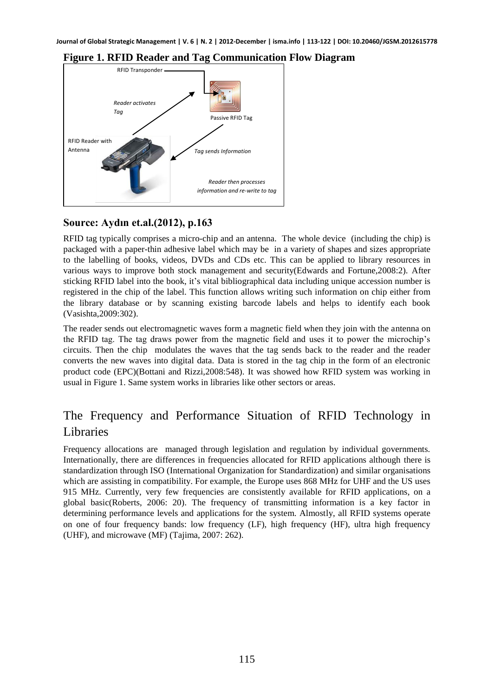

### **Figure 1. RFID Reader and Tag Communication Flow Diagram**

### **Source: Aydın et.al.(2012), p.163**

RFID tag typically comprises a micro-chip and an antenna. The whole device (including the chip) is packaged with a paper-thin adhesive label which may be in a variety of shapes and sizes appropriate to the labelling of books, videos, DVDs and CDs etc. This can be applied to library resources in various ways to improve both stock management and security(Edwards and Fortune,2008:2). After sticking RFID label into the book, it's vital bibliographical data including unique accession number is registered in the chip of the label. This function allows writing such information on chip either from the library database or by scanning existing barcode labels and helps to identify each book (Vasishta,2009:302).

The reader sends out electromagnetic waves form a magnetic field when they join with the antenna on the RFID tag. The tag draws power from the magnetic field and uses it to power the microchip's circuits. Then the chip modulates the waves that the tag sends back to the reader and the reader converts the new waves into digital data. Data is stored in the tag chip in the form of an electronic product code (EPC)(Bottani and Rizzi,2008:548). It was showed how RFID system was working in usual in Figure 1. Same system works in libraries like other sectors or areas.

# The Frequency and Performance Situation of RFID Technology in Libraries

Frequency allocations are managed through legislation and regulation by individual governments. Internationally, there are differences in frequencies allocated for RFID applications although there is standardization through ISO (International Organization for Standardization) and similar organisations which are assisting in compatibility. For example, the Europe uses 868 MHz for UHF and the US uses 915 MHz. Currently, very few frequencies are consistently available for RFID applications, on a global basic(Roberts, 2006: 20). The frequency of transmitting information is a key factor in determining performance levels and applications for the system. Almostly, all RFID systems operate on one of four frequency bands: low frequency (LF), high frequency (HF), ultra high frequency (UHF), and microwave (MF) (Tajima, 2007: 262).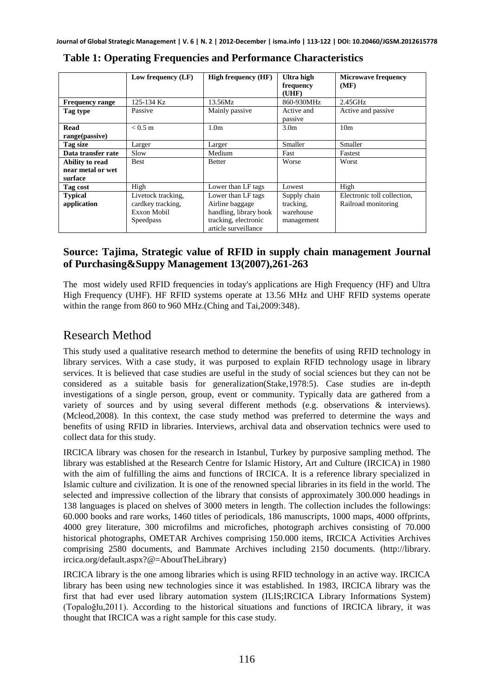|                        | Low frequency (LF) | <b>High frequency (HF)</b> | Ultra high<br>frequency<br>(UHF) | <b>Microwave frequency</b><br>(MF) |
|------------------------|--------------------|----------------------------|----------------------------------|------------------------------------|
| <b>Frequency range</b> | 125-134 Kz         | 13.56Mz                    | 860-930MHz                       | $2.45$ GHz                         |
| Tag type               | Passive            | Mainly passive             | Active and                       | Active and passive                 |
|                        |                    |                            | passive                          |                                    |
| Read                   | $< 0.5 \text{ m}$  | 1.0 <sub>m</sub>           | 3.0 <sub>m</sub>                 | 10 <sub>m</sub>                    |
| range(passive)         |                    |                            |                                  |                                    |
| Tag size               | Larger             | Larger                     | Smaller                          | Smaller                            |
| Data transfer rate     | Slow               | Medium                     | Fast                             | Fastest                            |
| Ability to read        | <b>Best</b>        | <b>Better</b>              | Worse                            | Worst                              |
| near metal or wet      |                    |                            |                                  |                                    |
| surface                |                    |                            |                                  |                                    |
| Tag cost               | High               | Lower than LF tags         | Lowest                           | High                               |
| <b>Typical</b>         | Livetock tracking, | Lower than LF tags         | Supply chain                     | Electronic toll collection.        |
| application            | cardkey tracking,  | Airline baggage            | tracking.                        | Railroad monitoring                |
|                        | Exxon Mobil        | handling, library book     | warehouse                        |                                    |
|                        | Speedpass          | tracking, electronic       | management                       |                                    |
|                        |                    | article surveillance       |                                  |                                    |

**Table 1: Operating Frequencies and Performance Characteristics** 

### **Source: Tajima, Strategic value of RFID in supply chain management Journal of Purchasing&Suppy Management 13(2007),261-263**

The most widely used RFID frequencies in today's applications are High Frequency (HF) and Ultra High Frequency (UHF). HF RFID systems operate at 13.56 MHz and UHF RFID systems operate within the range from 860 to 960 MHz.(Ching and Tai,2009:348).

### Research Method

This study used a qualitative research method to determine the benefits of using RFID technology in library services. With a case study, it was purposed to explain RFID technology usage in library services. It is believed that case studies are useful in the study of social sciences but they can not be considered as a suitable basis for generalization(Stake,1978:5). Case studies are in-depth investigations of a single person, group, event or community. Typically data are gathered from a variety of sources and by using several different methods (e.g. observations & interviews). (Mcleod,2008). In this context, the case study method was preferred to determine the ways and benefits of using RFID in libraries. Interviews, archival data and observation technics were used to collect data for this study.

IRCICA library was chosen for the research in Istanbul, Turkey by purposive sampling method. The library was established at the Research Centre for Islamic History, Art and Culture (IRCICA) in 1980 with the aim of fulfilling the aims and functions of IRCICA. It is a reference library specialized in Islamic culture and civilization. It is one of the renowned special libraries in its field in the world. The selected and impressive collection of the library that consists of approximately 300.000 headings in 138 languages is placed on shelves of 3000 meters in length. The collection includes the followings: 60.000 books and rare works, 1460 titles of periodicals, 186 manuscripts, 1000 maps, 4000 offprints, 4000 grey literature, 300 microfilms and microfiches, photograph archives consisting of 70.000 historical photographs, OMETAR Archives comprising 150.000 items, IRCICA Activities Archives comprising 2580 documents, and Bammate Archives including 2150 documents. (http://library. ircica.org/default.aspx?@=AboutTheLibrary)

IRCICA library is the one among libraries which is using RFID technology in an active way. IRCICA library has been using new technologies since it was established. In 1983, IRCICA library was the first that had ever used library automation system (ILIS;IRCICA Library Informations System) (Topaloğlu,2011). According to the historical situations and functions of IRCICA library, it was thought that IRCICA was a right sample for this case study.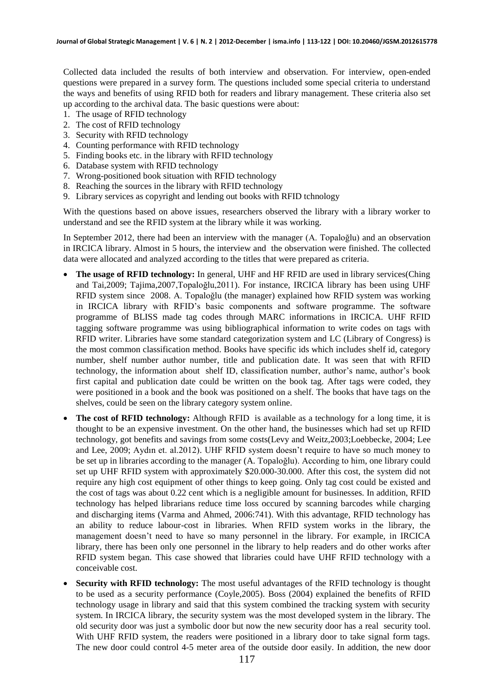Collected data included the results of both interview and observation. For interview, open-ended questions were prepared in a survey form. The questions included some special criteria to understand the ways and benefits of using RFID both for readers and library management. These criteria also set up according to the archival data. The basic questions were about:

- 1. The usage of RFID technology
- 2. The cost of RFID technology
- 3. Security with RFID technology
- 4. Counting performance with RFID technology
- 5. Finding books etc. in the library with RFID technology
- 6. Database system with RFID technology
- 7. Wrong-positioned book situation with RFID technology
- 8. Reaching the sources in the library with RFID technology
- 9. Library services as copyright and lending out books with RFID tchnology

With the questions based on above issues, researchers observed the library with a library worker to understand and see the RFID system at the library while it was working.

In September 2012, there had been an interview with the manager (A. Topaloğlu) and an observation in IRCICA library. Almost in 5 hours, the interview and the observation were finished. The collected data were allocated and analyzed according to the titles that were prepared as criteria.

- **The usage of RFID technology:** In general, UHF and HF RFID are used in library services(Ching and Tai,2009; Tajima,2007,Topaloğlu,2011). For instance, IRCICA library has been using UHF RFID system since 2008. A. Topaloğlu (the manager) explained how RFID system was working in IRCICA library with RFID's basic components and software programme. The software programme of BLISS made tag codes through MARC informations in IRCICA. UHF RFID tagging software programme was using bibliographical information to write codes on tags with RFID writer. Libraries have some standard categorization system and LC (Library of Congress) is the most common classification method. Books have specific ids which includes shelf id, category number, shelf number author number, title and publication date. It was seen that with RFID technology, the information about shelf ID, classification number, author's name, author's book first capital and publication date could be written on the book tag. After tags were coded, they were positioned in a book and the book was positioned on a shelf. The books that have tags on the shelves, could be seen on the library category system online.
- **The cost of RFID technology:** Although RFID is available as a technology for a long time, it is thought to be an expensive investment. On the other hand, the businesses which had set up RFID technology, got benefits and savings from some costs(Levy and Weitz,2003;Loebbecke, 2004; Lee and Lee, 2009; Aydın et. al.2012). UHF RFID system doesn't require to have so much money to be set up in libraries according to the manager (A. Topaloğlu). According to him, one library could set up UHF RFID system with approximately \$20.000-30.000. After this cost, the system did not require any high cost equipment of other things to keep going. Only tag cost could be existed and the cost of tags was about 0.22 cent which is a negligible amount for businesses. In addition, RFID technology has helped librarians reduce time loss occured by scanning barcodes while charging and discharging items (Varma and Ahmed, 2006:741). With this advantage, RFID technology has an ability to reduce labour-cost in libraries. When RFID system works in the library, the management doesn't need to have so many personnel in the library. For example, in IRCICA library, there has been only one personnel in the library to help readers and do other works after RFID system began. This case showed that libraries could have UHF RFID technology with a conceivable cost.
- **Security with RFID technology:** The most useful advantages of the RFID technology is thought to be used as a security performance (Coyle,2005). Boss (2004) explained the benefits of RFID technology usage in library and said that this system combined the tracking system with security system. In IRCICA library, the security system was the most developed system in the library. The old security door was just a symbolic door but now the new security door has a real security tool. With UHF RFID system, the readers were positioned in a library door to take signal form tags. The new door could control 4-5 meter area of the outside door easily. In addition, the new door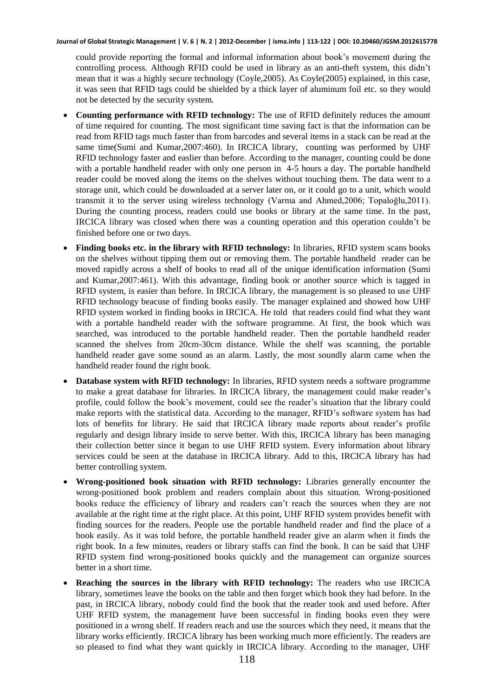could provide reporting the formal and informal information about book's movement during the controlling process. Although RFID could be used in library as an anti-theft system, this didn't mean that it was a highly secure technology (Coyle,2005). As Coyle(2005) explained, in this case, it was seen that RFID tags could be shielded by a thick layer of aluminum foil etc. so they would not be detected by the security system.

- **Counting performance with RFID technology:** The use of RFID definitely reduces the amount of time required for counting. The most significant time saving fact is that the information can be read from RFID tags much faster than from barcodes and several items in a stack can be read at the same time(Sumi and Kumar,2007:460). In IRCICA library, counting was performed by UHF RFID technology faster and easlier than before. According to the manager, counting could be done with a portable handheld reader with only one person in 4-5 hours a day. The portable handheld reader could be moved along the items on the shelves without touching them. The data went to a storage unit, which could be downloaded at a server later on, or it could go to a unit, which would transmit it to the server using wireless technology (Varma and Ahmed,2006; Topaloğlu,2011). During the counting process, readers could use books or library at the same time. In the past, IRCICA library was closed when there was a counting operation and this operation couldn't be finished before one or two days.
- **Finding books etc. in the library with RFID technology:** In libraries, RFID system scans books on the shelves without tipping them out or removing them. The portable handheld reader can be moved rapidly across a shelf of books to read all of the unique identification information (Sumi and Kumar,2007:461). With this advantage, finding book or another source which is tagged in RFID system, is easier than before. In IRCICA library, the management is so pleased to use UHF RFID technology beacuse of finding books easily. The manager explained and showed how UHF RFID system worked in finding books in IRCICA. He told that readers could find what they want with a portable handheld reader with the software programme. At first, the book which was searched, was introduced to the portable handheld reader. Then the portable handheld reader scanned the shelves from 20cm-30cm distance. While the shelf was scanning, the portable handheld reader gave some sound as an alarm. Lastly, the most soundly alarm came when the handheld reader found the right book.
- **Database system with RFID technology:** In libraries, RFID system needs a software programme to make a great database for libraries. In IRCICA library, the management could make reader's profile, could follow the book's movement, could see the reader's situation that the library could make reports with the statistical data. According to the manager, RFID's software system has had lots of benefits for library. He said that IRCICA library made reports about reader's profile regularly and design library inside to serve better. With this, IRCICA library has been managing their collection better since it began to use UHF RFID system. Every information about library services could be seen at the database in IRCICA library. Add to this, IRCICA library has had better controlling system.
- **Wrong-positioned book situation with RFID technology:** Libraries generally encounter the wrong-positioned book problem and readers complain about this situation. Wrong-positioned books reduce the efficiency of library and readers can't reach the sources when they are not available at the right time at the right place. At this point, UHF RFID system provides benefit with finding sources for the readers. People use the portable handheld reader and find the place of a book easily. As it was told before, the portable handheld reader give an alarm when it finds the right book. In a few minutes, readers or library staffs can find the book. It can be said that UHF RFID system find wrong-positioned books quickly and the management can organize sources better in a short time.
- **Reaching the sources in the library with RFID technology:** The readers who use IRCICA library, sometimes leave the books on the table and then forget which book they had before. In the past, in IRCICA library, nobody could find the book that the reader took and used before. After UHF RFID system, the management have been successful in finding books even they were positioned in a wrong shelf. If readers reach and use the sources which they need, it means that the library works efficiently. IRCICA library has been working much more efficiently. The readers are so pleased to find what they want quickly in IRCICA library. According to the manager, UHF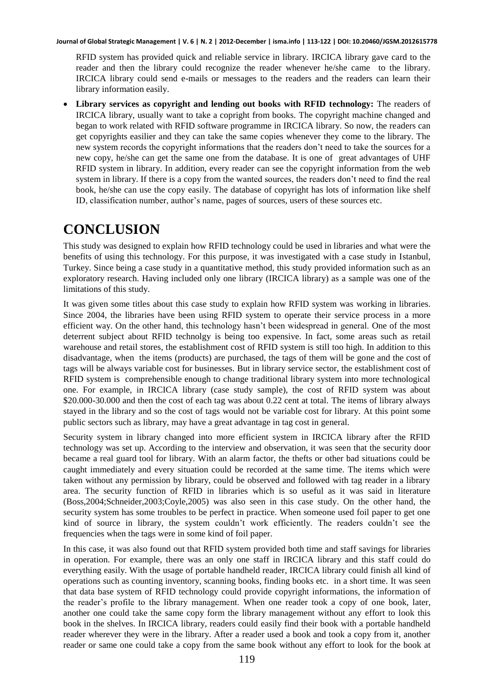RFID system has provided quick and reliable service in library. IRCICA library gave card to the reader and then the library could recognize the reader whenever he/she came to the library. IRCICA library could send e-mails or messages to the readers and the readers can learn their library information easily.

 **Library services as copyright and lending out books with RFID technology:** The readers of IRCICA library, usually want to take a copright from books. The copyright machine changed and began to work related with RFID software programme in IRCICA library. So now, the readers can get copyrights easilier and they can take the same copies whenever they come to the library. The new system records the copyright informations that the readers don't need to take the sources for a new copy, he/she can get the same one from the database. It is one of great advantages of UHF RFID system in library. In addition, every reader can see the copyright information from the web system in library. If there is a copy from the wanted sources, the readers don't need to find the real book, he/she can use the copy easily. The database of copyright has lots of information like shelf ID, classification number, author's name, pages of sources, users of these sources etc.

# **CONCLUSION**

This study was designed to explain how RFID technology could be used in libraries and what were the benefits of using this technology. For this purpose, it was investigated with a case study in Istanbul, Turkey. Since being a case study in a quantitative method, this study provided information such as an exploratory research. Having included only one library (IRCICA library) as a sample was one of the limitations of this study.

It was given some titles about this case study to explain how RFID system was working in libraries. Since 2004, the libraries have been using RFID system to operate their service process in a more efficient way. On the other hand, this technology hasn't been widespread in general. One of the most deterrent subject about RFID technolgy is being too expensive. In fact, some areas such as retail warehouse and retail stores, the establishment cost of RFID system is still too high. In addition to this disadvantage, when the items (products) are purchased, the tags of them will be gone and the cost of tags will be always variable cost for businesses. But in library service sector, the establishment cost of RFID system is comprehensible enough to change traditional library system into more technological one. For example, in IRCICA library (case study sample), the cost of RFID system was about \$20.000-30.000 and then the cost of each tag was about 0.22 cent at total. The items of library always stayed in the library and so the cost of tags would not be variable cost for library. At this point some public sectors such as library, may have a great advantage in tag cost in general.

Security system in library changed into more efficient system in IRCICA library after the RFID technology was set up. According to the interview and observation, it was seen that the security door became a real guard tool for library. With an alarm factor, the thefts or other bad situations could be caught immediately and every situation could be recorded at the same time. The items which were taken without any permission by library, could be observed and followed with tag reader in a library area. The security function of RFID in libraries which is so useful as it was said in literature (Boss,2004;Schneider,2003;Coyle,2005) was also seen in this case study. On the other hand, the security system has some troubles to be perfect in practice. When someone used foil paper to get one kind of source in library, the system couldn't work efficiently. The readers couldn't see the frequencies when the tags were in some kind of foil paper.

In this case, it was also found out that RFID system provided both time and staff savings for libraries in operation. For example, there was an only one staff in IRCICA library and this staff could do everything easily. With the usage of portable handheld reader, IRCICA library could finish all kind of operations such as counting inventory, scanning books, finding books etc. in a short time. It was seen that data base system of RFID technology could provide copyright informations, the information of the reader's profile to the library management. When one reader took a copy of one book, later, another one could take the same copy form the library management without any effort to look this book in the shelves. In IRCICA library, readers could easily find their book with a portable handheld reader wherever they were in the library. After a reader used a book and took a copy from it, another reader or same one could take a copy from the same book without any effort to look for the book at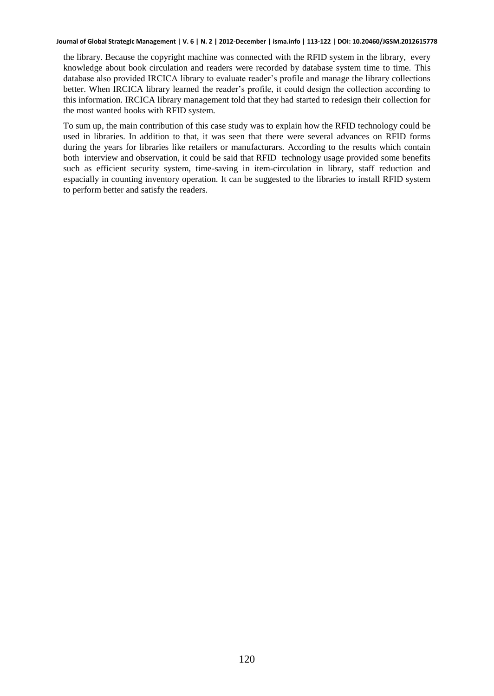the library. Because the copyright machine was connected with the RFID system in the library, every knowledge about book circulation and readers were recorded by database system time to time. This database also provided IRCICA library to evaluate reader's profile and manage the library collections better. When IRCICA library learned the reader's profile, it could design the collection according to this information. IRCICA library management told that they had started to redesign their collection for the most wanted books with RFID system.

To sum up, the main contribution of this case study was to explain how the RFID technology could be used in libraries. In addition to that, it was seen that there were several advances on RFID forms during the years for libraries like retailers or manufacturars. According to the results which contain both interview and observation, it could be said that RFID technology usage provided some benefits such as efficient security system, time-saving in item-circulation in library, staff reduction and espacially in counting inventory operation. It can be suggested to the libraries to install RFID system to perform better and satisfy the readers.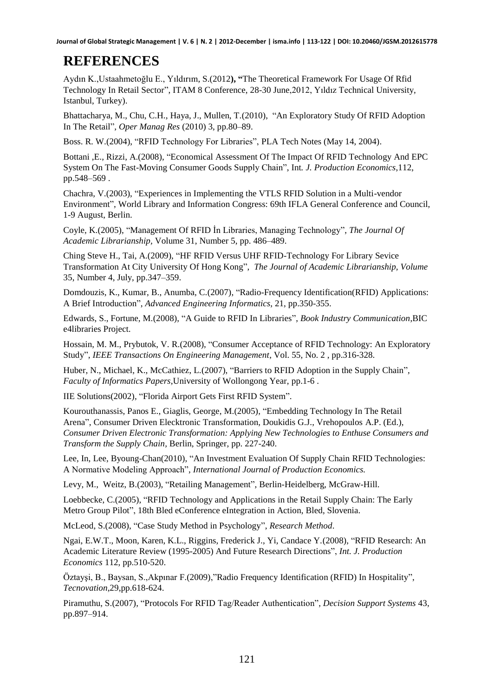# **REFERENCES**

Aydın K.,Ustaahmetoğlu E., Yıldırım, S.(2012**), "**The Theoretical Framework For Usage Of Rfid Technology In Retail Sector", ITAM 8 Conference, 28-30 June,2012, Yıldız Technical University, Istanbul, Turkey).

Bhattacharya, M., Chu, C.H., Haya, J., Mullen, T.(2010), "An Exploratory Study Of RFID Adoption In The Retail", *Oper Manag Res* (2010) 3, pp.80–89.

Boss. R. W.(2004), "RFID Technology For Libraries", PLA Tech Notes (May 14, 2004).

Bottani ,E., Rizzi, A.(2008), "Economical Assessment Of The Impact Of RFID Technology And EPC System On The Fast-Moving Consumer Goods Supply Chain", Int*. J. Production Economics*,112, pp.548–569 .

Chachra, V.(2003), "Experiences in Implementing the VTLS RFID Solution in a Multi-vendor Environment", World Library and Information Congress: 69th IFLA General Conference and Council, 1-9 August, Berlin.

Coyle, K.(2005), "Management Of RFID İn Libraries, Managing Technology", *The Journal Of Academic Librarianship,* Volume 31, Number 5, pp. 486–489.

Ching Steve H., Tai, A.(2009), "HF RFID Versus UHF RFID-Technology For Library Sevice Transformation At City University Of Hong Kong", *The Journal of Academic Librarianship, Volume*  35, Number 4, July, pp.347–359.

Domdouzis, K., Kumar, B., Anumba, C.(2007), "Radio-Frequency Identification(RFID) Applications: A Brief Introduction", *Advanced Engineering Informatics*, 21, pp.350-355.

Edwards, S., Fortune, M.(2008), "A Guide to RFID In Libraries", *Book Industry Communication*,BIC e4libraries Project.

Hossain, M. M., Prybutok, V. R.(2008), "Consumer Acceptance of RFID Technology: An Exploratory Study", *IEEE Transactions On Engineering Management*, Vol. 55, No. 2 , pp.316-328.

Huber, N., Michael, K., McCathiez, L.(2007), "Barriers to RFID Adoption in the Supply Chain", *Faculty of Informatics Papers*,University of Wollongong Year, pp.1-6 .

IIE Solutions(2002), "Florida Airport Gets First RFID System".

Kourouthanassis, Panos E., Giaglis, George, M.(2005), "Embedding Technology In The Retail Arena", Consumer Driven Elecktronic Transformation, Doukidis G.J., Vrehopoulos A.P. (Ed.), *Consumer Driven Electronic Transformation: Applying New Technologies to Enthuse Consumers and Transform the Supply Chain,* Berlin, Springer, pp. 227-240.

Lee, In, Lee, Byoung-Chan(2010), "An Investment Evaluation Of Supply Chain RFID Technologies: A Normative Modeling Approach", *International Journal of Production Economics.* 

Levy, M., Weitz, B.(2003), "Retailing Management", Berlin-Heidelberg, McGraw-Hill.

Loebbecke, C.(2005), "RFID Technology and Applications in the Retail Supply Chain: The Early Metro Group Pilot", 18th Bled eConference eIntegration in Action, Bled, Slovenia.

McLeod, S.(2008), "Case Study Method in Psychology", *Research Method*.

Ngai, E.W.T., Moon, Karen, K.L., Riggins, Frederick J., Yi, Candace Y.(2008), "RFID Research: An Academic Literature Review (1995-2005) And Future Research Directions", *Int. J. Production Economics* 112, pp.510-520.

Öztayşi, B., Baysan, S.,Akpınar F.(2009),"Radio Frequency Identification (RFID) In Hospitality", *Tecnovation*,29,pp.618-624.

Piramuthu, S.(2007), "Protocols For RFID Tag/Reader Authentication", *Decision Support Systems* 43, pp.897–914.